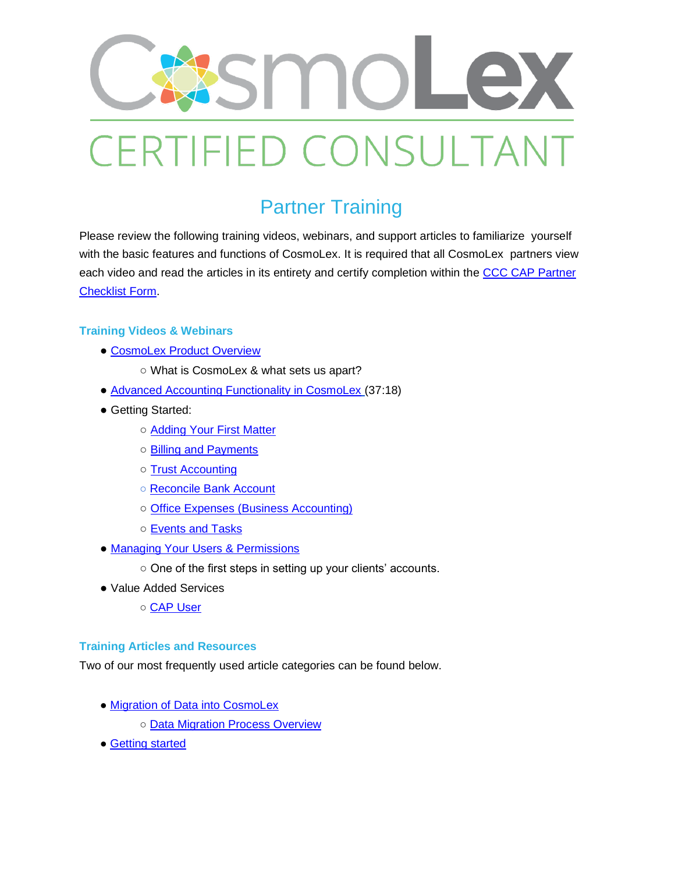

## Partner Training

Please review the following training videos, webinars, and support articles to familiarize yourself with the basic features and functions of CosmoLex. It is required that all CosmoLex partners view each video and read the articles in its entirety and certify completion within the CCC CAP Partner [Checklist Form.](https://docs.google.com/forms/d/e/1FAIpQLSfuzBXmvh90RhbidZpUllI8IEQqjZfGyIKVns_x8Pxy4k_kOw/viewform)

## **Training Videos & Webinars**

- **[CosmoLex Product Overview](https://www.cosmolex.com/?video=overview)** 
	- What is CosmoLex & what sets us apart?
- [Advanced Accounting Functionality in CosmoLex](https://support.cosmolex.com/knowledge-base/webinar-advanced-accounting-functionality/) (37:18)
- Getting Started:
	- [Adding Your First Matter](https://support.cosmolex.com/knowledge-base/manage-matters/)
	- [Billing and Payments](https://support.cosmolex.com/articles/billing/)
	- [Trust Accounting](https://support.cosmolex.com/knowledge-base/add-a-trust-withdrawal-transaction/)
	- ○ [Reconcile Bank Account](https://support.cosmolex.com/knowledge-base/reconcile-your-bank-account/)
	- [Office Expenses \(Business Accounting\)](https://support.cosmolex.com/articles/business-accounting/)
	- [Events and Tasks](https://support.cosmolex.com/articles/calendar-tasks/)
- [Managing Your Users & Permissions](https://support.cosmolex.com/knowledge-base/manage-user-roles/)
	- One of the first steps in setting up your clients' accounts.
- Value Added Services
	- ○ [CAP User](https://support.cosmolex.com/knowledge-base/add-cosmolex-accounting-partner-cap-to-subscription/)

## **Training Articles and Resources**

Two of our most frequently used article categories can be found below.

- • [Migration of Data into CosmoLex](https://support.cosmolex.com/knowledge-base/migrate-your-data/)
	- ○ [Data Migration Process Overview](https://cosmolex.wistia.com/medias/uu6jtpurhb)
- ● [Getting started](https://support.cosmolex.com/knowledge-base/firm-settings/)